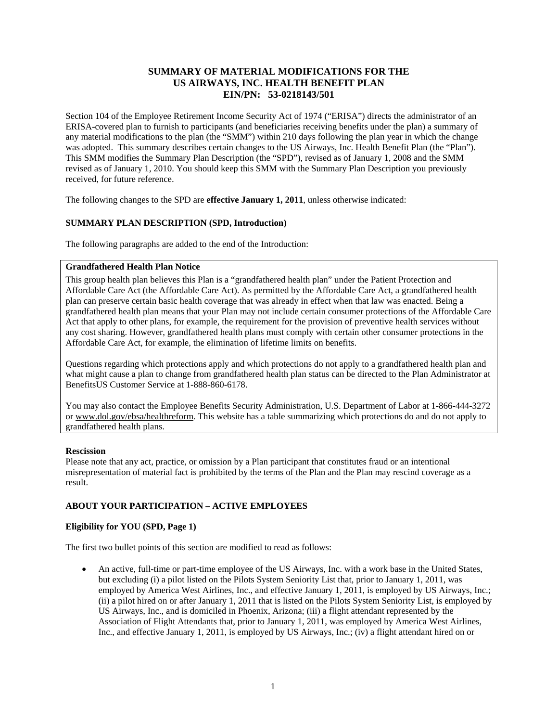# **SUMMARY OF MATERIAL MODIFICATIONS FOR THE US AIRWAYS, INC. HEALTH BENEFIT PLAN EIN/PN: 53-0218143/501**

Section 104 of the Employee Retirement Income Security Act of 1974 ("ERISA") directs the administrator of an ERISA-covered plan to furnish to participants (and beneficiaries receiving benefits under the plan) a summary of any material modifications to the plan (the "SMM") within 210 days following the plan year in which the change was adopted. This summary describes certain changes to the US Airways, Inc. Health Benefit Plan (the "Plan"). This SMM modifies the Summary Plan Description (the "SPD"), revised as of January 1, 2008 and the SMM revised as of January 1, 2010. You should keep this SMM with the Summary Plan Description you previously received, for future reference.

The following changes to the SPD are **effective January 1, 2011**, unless otherwise indicated:

# **SUMMARY PLAN DESCRIPTION (SPD, Introduction)**

The following paragraphs are added to the end of the Introduction:

### **Grandfathered Health Plan Notice**

This group health plan believes this Plan is a "grandfathered health plan" under the Patient Protection and Affordable Care Act (the Affordable Care Act). As permitted by the Affordable Care Act, a grandfathered health plan can preserve certain basic health coverage that was already in effect when that law was enacted. Being a grandfathered health plan means that your Plan may not include certain consumer protections of the Affordable Care Act that apply to other plans, for example, the requirement for the provision of preventive health services without any cost sharing. However, grandfathered health plans must comply with certain other consumer protections in the Affordable Care Act, for example, the elimination of lifetime limits on benefits.

Questions regarding which protections apply and which protections do not apply to a grandfathered health plan and what might cause a plan to change from grandfathered health plan status can be directed to the Plan Administrator at BenefitsUS Customer Service at 1-888-860-6178.

You may also contact the Employee Benefits Security Administration, U.S. Department of Labor at 1-866-444-3272 or www.dol.gov/ebsa/healthreform. This website has a table summarizing which protections do and do not apply to grandfathered health plans.

### **Rescission**

Please note that any act, practice, or omission by a Plan participant that constitutes fraud or an intentional misrepresentation of material fact is prohibited by the terms of the Plan and the Plan may rescind coverage as a result.

### **ABOUT YOUR PARTICIPATION – ACTIVE EMPLOYEES**

### **Eligibility for YOU (SPD, Page 1)**

The first two bullet points of this section are modified to read as follows:

• An active, full-time or part-time employee of the US Airways, Inc. with a work base in the United States, but excluding (i) a pilot listed on the Pilots System Seniority List that, prior to January 1, 2011, was employed by America West Airlines, Inc., and effective January 1, 2011, is employed by US Airways, Inc.; (ii) a pilot hired on or after January 1, 2011 that is listed on the Pilots System Seniority List, is employed by US Airways, Inc., and is domiciled in Phoenix, Arizona; (iii) a flight attendant represented by the Association of Flight Attendants that, prior to January 1, 2011, was employed by America West Airlines, Inc., and effective January 1, 2011, is employed by US Airways, Inc.; (iv) a flight attendant hired on or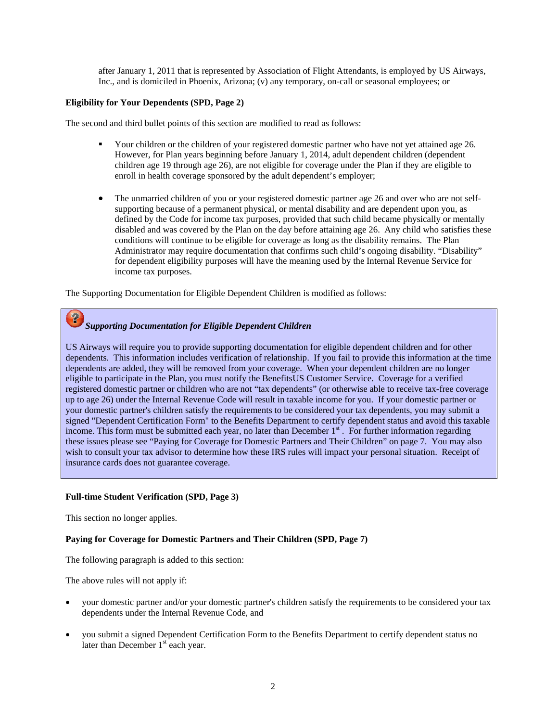after January 1, 2011 that is represented by Association of Flight Attendants, is employed by US Airways, Inc., and is domiciled in Phoenix, Arizona; (v) any temporary, on-call or seasonal employees; or

### **Eligibility for Your Dependents (SPD, Page 2)**

The second and third bullet points of this section are modified to read as follows:

- Your children or the children of your registered domestic partner who have not yet attained age 26. However, for Plan years beginning before January 1, 2014, adult dependent children (dependent children age 19 through age 26), are not eligible for coverage under the Plan if they are eligible to enroll in health coverage sponsored by the adult dependent's employer;
- The unmarried children of you or your registered domestic partner age 26 and over who are not selfsupporting because of a permanent physical, or mental disability and are dependent upon you, as defined by the Code for income tax purposes, provided that such child became physically or mentally disabled and was covered by the Plan on the day before attaining age 26. Any child who satisfies these conditions will continue to be eligible for coverage as long as the disability remains. The Plan Administrator may require documentation that confirms such child's ongoing disability. "Disability" for dependent eligibility purposes will have the meaning used by the Internal Revenue Service for income tax purposes.

The Supporting Documentation for Eligible Dependent Children is modified as follows:

# *Supporting Documentation for Eligible Dependent Children*

US Airways will require you to provide supporting documentation for eligible dependent children and for other dependents. This information includes verification of relationship. If you fail to provide this information at the time dependents are added, they will be removed from your coverage. When your dependent children are no longer eligible to participate in the Plan, you must notify the BenefitsUS Customer Service. Coverage for a verified registered domestic partner or children who are not "tax dependents" (or otherwise able to receive tax-free coverage up to age 26) under the Internal Revenue Code will result in taxable income for you. If your domestic partner or your domestic partner's children satisfy the requirements to be considered your tax dependents, you may submit a signed "Dependent Certification Form" to the Benefits Department to certify dependent status and avoid this taxable income. This form must be submitted each year, no later than December  $1<sup>st</sup>$ . For further information regarding these issues please see "Paying for Coverage for Domestic Partners and Their Children" on page 7. You may also wish to consult your tax advisor to determine how these IRS rules will impact your personal situation. Receipt of insurance cards does not guarantee coverage.

### **Full-time Student Verification (SPD, Page 3)**

This section no longer applies.

 $\boldsymbol{P}$ 

#### **Paying for Coverage for Domestic Partners and Their Children (SPD, Page 7)**

The following paragraph is added to this section:

The above rules will not apply if:

- your domestic partner and/or your domestic partner's children satisfy the requirements to be considered your tax dependents under the Internal Revenue Code, and
- you submit a signed Dependent Certification Form to the Benefits Department to certify dependent status no later than December  $1<sup>st</sup>$  each year.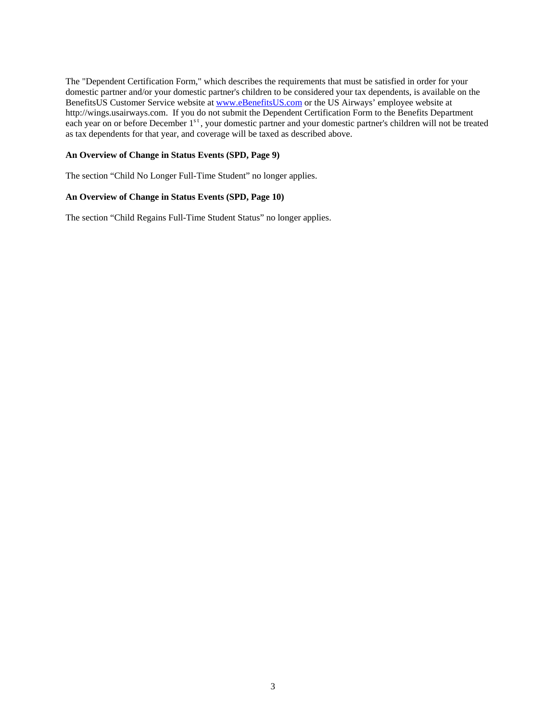The "Dependent Certification Form," which describes the requirements that must be satisfied in order for your domestic partner and/or your domestic partner's children to be considered your tax dependents, is available on the BenefitsUS Customer Service website at www.eBenefitsUS.com or the US Airways' employee website at http://wings.usairways.com. If you do not submit the Dependent Certification Form to the Benefits Department each year on or before December 1<sup>st</sup>, your domestic partner and your domestic partner's children will not be treated as tax dependents for that year, and coverage will be taxed as described above.

### **An Overview of Change in Status Events (SPD, Page 9)**

The section "Child No Longer Full-Time Student" no longer applies.

#### **An Overview of Change in Status Events (SPD, Page 10)**

The section "Child Regains Full-Time Student Status" no longer applies.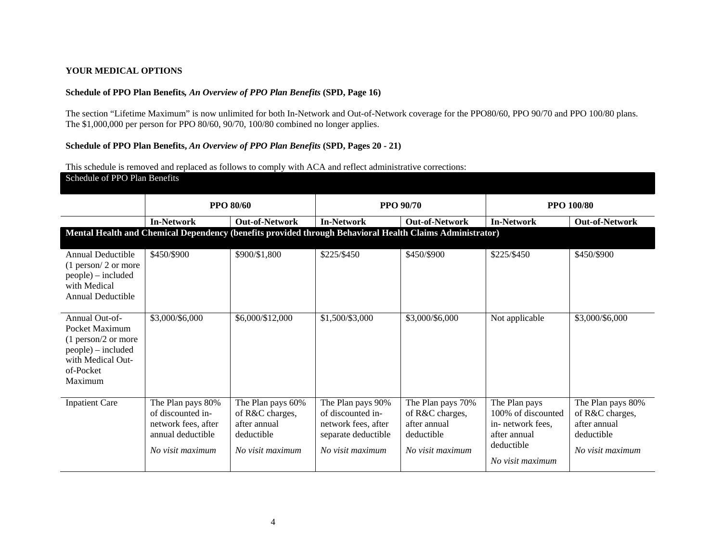### **YOUR MEDICAL OPTIONS**

### **Schedule of PPO Plan Benefits***, An Overview of PPO Plan Benefits* **(SPD, Page 16)**

The section "Lifetime Maximum" is now unlimited for both In-Network and Out-of-Network coverage for the PPO80/60, PPO 90/70 and PPO 100/80 plans. The \$1,000,000 per person for PPO 80/60, 90/70, 100/80 combined no longer applies.

### **Schedule of PPO Plan Benefits,** *An Overview of PPO Plan Benefits* **(SPD, Pages 20 - 21)**

This schedule is removed and replaced as follows to comply with ACA and reflect administrative corrections:

| Schedule of PPO Plan Benefits |  |  |
|-------------------------------|--|--|
|                               |  |  |

|                                                                                                                              | <b>PPO 80/60</b>                                                                                       |                                                                                        | <b>PPO 90/70</b>                                                                                         |                                                                                        | <b>PPO 100/80</b>                                                                                         |                                                                                        |
|------------------------------------------------------------------------------------------------------------------------------|--------------------------------------------------------------------------------------------------------|----------------------------------------------------------------------------------------|----------------------------------------------------------------------------------------------------------|----------------------------------------------------------------------------------------|-----------------------------------------------------------------------------------------------------------|----------------------------------------------------------------------------------------|
|                                                                                                                              | <b>In-Network</b>                                                                                      | <b>Out-of-Network</b>                                                                  | <b>In-Network</b>                                                                                        | <b>Out-of-Network</b>                                                                  | <b>In-Network</b>                                                                                         | <b>Out-of-Network</b>                                                                  |
|                                                                                                                              |                                                                                                        |                                                                                        | Mental Health and Chemical Dependency (benefits provided through Behavioral Health Claims Administrator) |                                                                                        |                                                                                                           |                                                                                        |
| Annual Deductible<br>$(1$ person/ 2 or more<br>people) – included<br>with Medical<br>Annual Deductible                       | \$450/\$900                                                                                            | \$900/\$1,800                                                                          | \$225/\$450                                                                                              | \$450/\$900                                                                            | \$225/\$450                                                                                               | \$450/\$900                                                                            |
| Annual Out-of-<br>Pocket Maximum<br>$(1$ person/2 or more<br>people) – included<br>with Medical Out-<br>of-Pocket<br>Maximum | \$3,000/\$6,000                                                                                        | \$6,000/\$12,000                                                                       | \$1,500/\$3,000                                                                                          | \$3,000/\$6,000                                                                        | Not applicable                                                                                            | \$3,000/\$6,000                                                                        |
| <b>Inpatient Care</b>                                                                                                        | The Plan pays 80%<br>of discounted in-<br>network fees, after<br>annual deductible<br>No visit maximum | The Plan pays 60%<br>of R&C charges,<br>after annual<br>deductible<br>No visit maximum | The Plan pays 90%<br>of discounted in-<br>network fees, after<br>separate deductible<br>No visit maximum | The Plan pays 70%<br>of R&C charges,<br>after annual<br>deductible<br>No visit maximum | The Plan pays<br>100% of discounted<br>in-network fees,<br>after annual<br>deductible<br>No visit maximum | The Plan pays 80%<br>of R&C charges,<br>after annual<br>deductible<br>No visit maximum |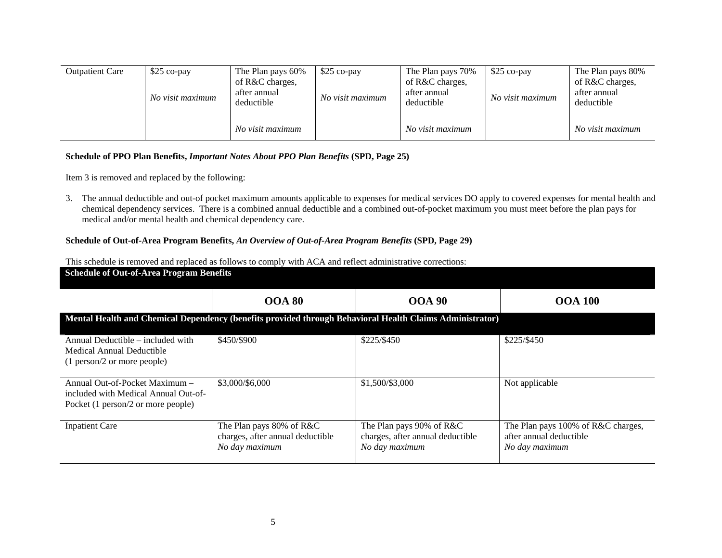| <b>Outpatient Care</b> | $$25$ co-pay<br>No visit maximum | The Plan pays 60%<br>of R&C charges,<br>after annual<br>deductible | $$25$ co-pay<br>No visit maximum | The Plan pays 70%<br>of R&C charges,<br>after annual<br>deductible | $$25$ co-pay<br>No visit maximum | The Plan pays 80%<br>of R&C charges,<br>after annual<br>deductible |
|------------------------|----------------------------------|--------------------------------------------------------------------|----------------------------------|--------------------------------------------------------------------|----------------------------------|--------------------------------------------------------------------|
|                        |                                  | No visit maximum                                                   |                                  | No visit maximum                                                   |                                  | No visit maximum                                                   |

### **Schedule of PPO Plan Benefits,** *Important Notes About PPO Plan Benefits* **(SPD, Page 25)**

Item 3 is removed and replaced by the following:

3. The annual deductible and out-of pocket maximum amounts applicable to expenses for medical services DO apply to covered expenses for mental health and chemical dependency services. There is a combined annual deductible and a combined out-of-pocket maximum you must meet before the plan pays for medical and/or mental health and chemical dependency care.

### **Schedule of Out-of-Area Program Benefits,** *An Overview of Out-of-Area Program Benefits* **(SPD, Page 29)**

| <b>Schedule of Out-of-Area Program Benefits</b>                                                              |                                                                                |                                                                                |                                                                                 |  |  |  |  |  |
|--------------------------------------------------------------------------------------------------------------|--------------------------------------------------------------------------------|--------------------------------------------------------------------------------|---------------------------------------------------------------------------------|--|--|--|--|--|
|                                                                                                              | <b>OOA 80</b>                                                                  | <b>OOA 90</b>                                                                  | <b>OOA 100</b>                                                                  |  |  |  |  |  |
| Mental Health and Chemical Dependency (benefits provided through Behavioral Health Claims Administrator)     |                                                                                |                                                                                |                                                                                 |  |  |  |  |  |
| Annual Deductible – included with<br>Medical Annual Deductible<br>(1 person/2 or more people)                | \$450/\$900                                                                    | \$225/\$450                                                                    | \$225/\$450                                                                     |  |  |  |  |  |
| Annual Out-of-Pocket Maximum -<br>included with Medical Annual Out-of-<br>Pocket (1 person/2 or more people) | \$3,000/\$6,000                                                                | \$1,500/\$3,000                                                                | Not applicable                                                                  |  |  |  |  |  |
| <b>Inpatient Care</b>                                                                                        | The Plan pays 80% of R&C<br>charges, after annual deductible<br>No day maximum | The Plan pays 90% of R&C<br>charges, after annual deductible<br>No day maximum | The Plan pays 100% of R&C charges,<br>after annual deductible<br>No day maximum |  |  |  |  |  |

This schedule is removed and replaced as follows to comply with ACA and reflect administrative corrections: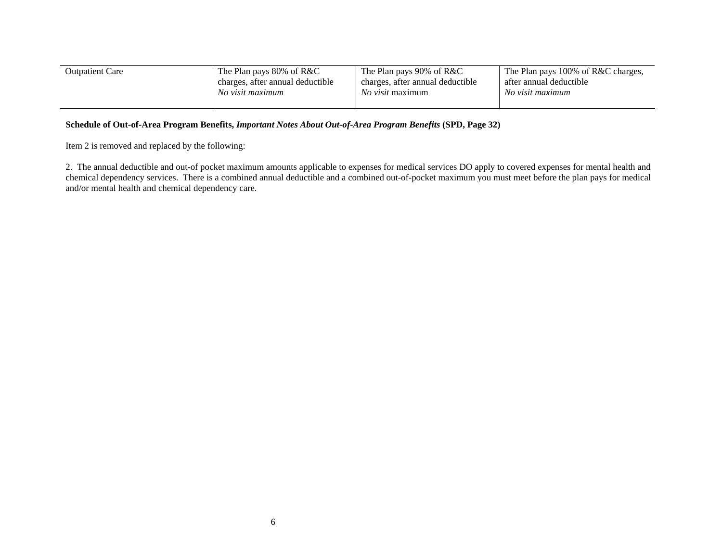| <b>Outpatient Care</b> | The Plan pays 80% of R&C         | The Plan pays 90% of R&C         | The Plan pays 100% of R&C charges, |  |
|------------------------|----------------------------------|----------------------------------|------------------------------------|--|
|                        | charges, after annual deductible | charges, after annual deductible | after annual deductible            |  |
|                        | No visit maximum                 | <i>No visit</i> maximum          | No visit maximum                   |  |

### **Schedule of Out-of-Area Program Benefits,** *Important Notes About Out-of-Area Program Benefits* **(SPD, Page 32)**

Item 2 is removed and replaced by the following:

2. The annual deductible and out-of pocket maximum amounts applicable to expenses for medical services DO apply to covered expenses for mental health and chemical dependency services. There is a combined annual deductible and a combined out-of-pocket maximum you must meet before the plan pays for medical and/or mental health and chemical dependency care.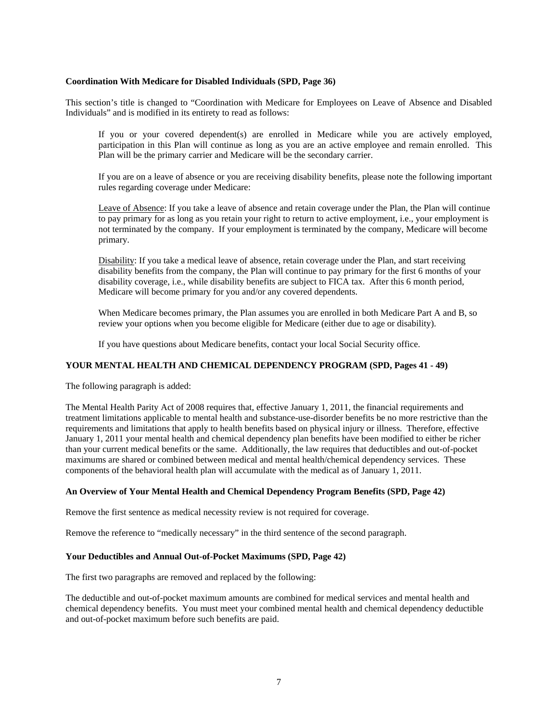#### **Coordination With Medicare for Disabled Individuals (SPD, Page 36)**

This section's title is changed to "Coordination with Medicare for Employees on Leave of Absence and Disabled Individuals" and is modified in its entirety to read as follows:

If you or your covered dependent(s) are enrolled in Medicare while you are actively employed, participation in this Plan will continue as long as you are an active employee and remain enrolled. This Plan will be the primary carrier and Medicare will be the secondary carrier.

If you are on a leave of absence or you are receiving disability benefits, please note the following important rules regarding coverage under Medicare:

Leave of Absence: If you take a leave of absence and retain coverage under the Plan, the Plan will continue to pay primary for as long as you retain your right to return to active employment, i.e., your employment is not terminated by the company. If your employment is terminated by the company, Medicare will become primary.

Disability: If you take a medical leave of absence, retain coverage under the Plan, and start receiving disability benefits from the company, the Plan will continue to pay primary for the first 6 months of your disability coverage, i.e., while disability benefits are subject to FICA tax. After this 6 month period, Medicare will become primary for you and/or any covered dependents.

When Medicare becomes primary, the Plan assumes you are enrolled in both Medicare Part A and B, so review your options when you become eligible for Medicare (either due to age or disability).

If you have questions about Medicare benefits, contact your local Social Security office.

### **YOUR MENTAL HEALTH AND CHEMICAL DEPENDENCY PROGRAM (SPD, Pages 41 - 49)**

The following paragraph is added:

The Mental Health Parity Act of 2008 requires that, effective January 1, 2011, the financial requirements and treatment limitations applicable to mental health and substance-use-disorder benefits be no more restrictive than the requirements and limitations that apply to health benefits based on physical injury or illness. Therefore, effective January 1, 2011 your mental health and chemical dependency plan benefits have been modified to either be richer than your current medical benefits or the same. Additionally, the law requires that deductibles and out-of-pocket maximums are shared or combined between medical and mental health/chemical dependency services. These components of the behavioral health plan will accumulate with the medical as of January 1, 2011.

### **An Overview of Your Mental Health and Chemical Dependency Program Benefits (SPD, Page 42)**

Remove the first sentence as medical necessity review is not required for coverage.

Remove the reference to "medically necessary" in the third sentence of the second paragraph.

### **Your Deductibles and Annual Out-of-Pocket Maximums (SPD, Page 42)**

The first two paragraphs are removed and replaced by the following:

The deductible and out-of-pocket maximum amounts are combined for medical services and mental health and chemical dependency benefits. You must meet your combined mental health and chemical dependency deductible and out-of-pocket maximum before such benefits are paid.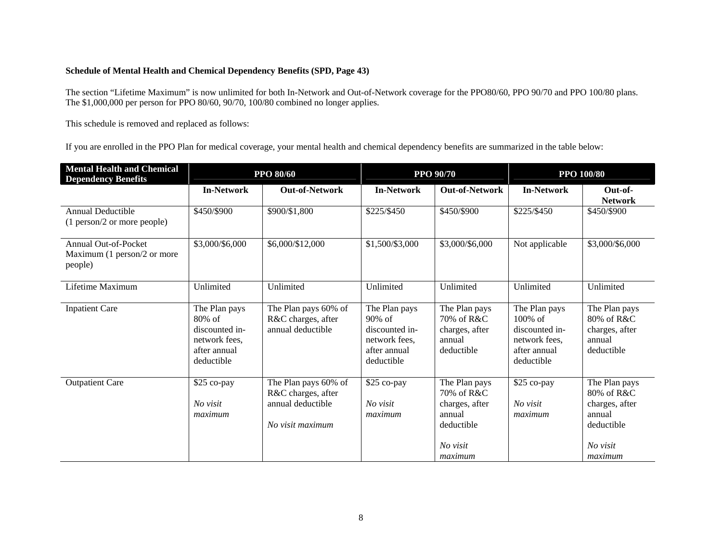# **Schedule of Mental Health and Chemical Dependency Benefits (SPD, Page 43)**

The section "Lifetime Maximum" is now unlimited for both In-Network and Out-of-Network coverage for the PPO80/60, PPO 90/70 and PPO 100/80 plans. The \$1,000,000 per person for PPO 80/60, 90/70, 100/80 combined no longer applies.

This schedule is removed and replaced as follows:

If you are enrolled in the PPO Plan for medical coverage, your mental health and chemical dependency benefits are summarized in the table below:

| <b>Mental Health and Chemical</b><br><b>Dependency Benefits</b>       | <b>PPO 80/60</b>                                                                            |                                                                                     | <b>PPO 90/70</b>                                                                            |                                                                                              | <b>PPO 100/80</b>                                                                            |                                                                                              |
|-----------------------------------------------------------------------|---------------------------------------------------------------------------------------------|-------------------------------------------------------------------------------------|---------------------------------------------------------------------------------------------|----------------------------------------------------------------------------------------------|----------------------------------------------------------------------------------------------|----------------------------------------------------------------------------------------------|
|                                                                       | <b>In-Network</b>                                                                           | <b>Out-of-Network</b>                                                               | <b>In-Network</b>                                                                           | <b>Out-of-Network</b>                                                                        | <b>In-Network</b>                                                                            | Out-of-<br><b>Network</b>                                                                    |
| Annual Deductible<br>(1 person/2 or more people)                      | \$450/\$900                                                                                 | \$900/\$1,800                                                                       | \$225/\$450                                                                                 | \$450/\$900                                                                                  | \$225/\$450                                                                                  | \$450/\$900                                                                                  |
| <b>Annual Out-of-Pocket</b><br>Maximum (1 person/2 or more<br>people) | \$3,000/\$6,000                                                                             | \$6,000/\$12,000                                                                    | \$1,500/\$3,000                                                                             | \$3,000/\$6,000                                                                              | Not applicable                                                                               | \$3,000/\$6,000                                                                              |
| Lifetime Maximum                                                      | Unlimited                                                                                   | Unlimited                                                                           | Unlimited                                                                                   | Unlimited                                                                                    | Unlimited                                                                                    | Unlimited                                                                                    |
| <b>Inpatient Care</b>                                                 | The Plan pays<br>$80\%$ of<br>discounted in-<br>network fees,<br>after annual<br>deductible | The Plan pays 60% of<br>R&C charges, after<br>annual deductible                     | The Plan pays<br>$90\%$ of<br>discounted in-<br>network fees,<br>after annual<br>deductible | The Plan pays<br>70% of R&C<br>charges, after<br>annual<br>deductible                        | The Plan pays<br>$100\%$ of<br>discounted in-<br>network fees,<br>after annual<br>deductible | The Plan pays<br>80% of R&C<br>charges, after<br>annual<br>deductible                        |
| <b>Outpatient Care</b>                                                | \$25 co-pay<br>No visit<br>maximum                                                          | The Plan pays 60% of<br>R&C charges, after<br>annual deductible<br>No visit maximum | \$25 co-pay<br>No visit<br>maximum                                                          | The Plan pays<br>70% of R&C<br>charges, after<br>annual<br>deductible<br>No visit<br>maximum | \$25 co-pay<br>No visit<br>maximum                                                           | The Plan pays<br>80% of R&C<br>charges, after<br>annual<br>deductible<br>No visit<br>maximum |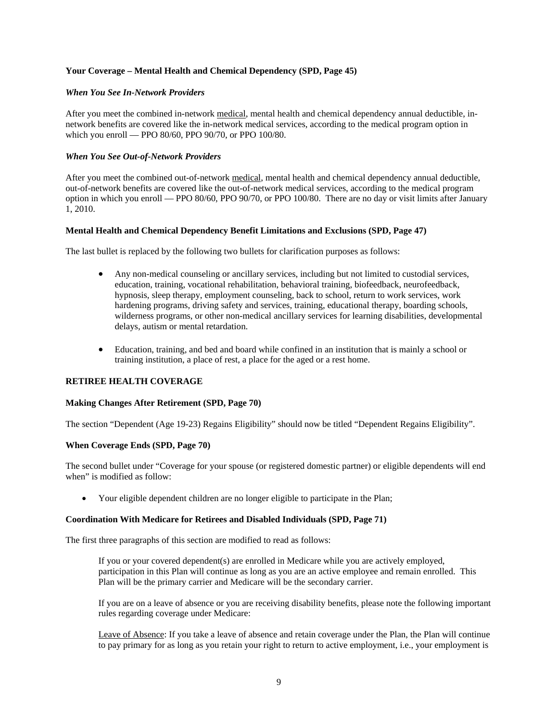### **Your Coverage – Mental Health and Chemical Dependency (SPD, Page 45)**

#### *When You See In-Network Providers*

After you meet the combined in-network medical, mental health and chemical dependency annual deductible, innetwork benefits are covered like the in-network medical services, according to the medical program option in which you enroll — PPO 80/60, PPO 90/70, or PPO 100/80.

#### *When You See Out-of-Network Providers*

After you meet the combined out-of-network medical, mental health and chemical dependency annual deductible, out-of-network benefits are covered like the out-of-network medical services, according to the medical program option in which you enroll — PPO 80/60, PPO 90/70, or PPO 100/80. There are no day or visit limits after January 1, 2010.

### **Mental Health and Chemical Dependency Benefit Limitations and Exclusions (SPD, Page 47)**

The last bullet is replaced by the following two bullets for clarification purposes as follows:

- Any non-medical counseling or ancillary services, including but not limited to custodial services, education, training, vocational rehabilitation, behavioral training, biofeedback, neurofeedback, hypnosis, sleep therapy, employment counseling, back to school, return to work services, work hardening programs, driving safety and services, training, educational therapy, boarding schools, wilderness programs, or other non-medical ancillary services for learning disabilities, developmental delays, autism or mental retardation.
- Education, training, and bed and board while confined in an institution that is mainly a school or training institution, a place of rest, a place for the aged or a rest home.

### **RETIREE HEALTH COVERAGE**

#### **Making Changes After Retirement (SPD, Page 70)**

The section "Dependent (Age 19-23) Regains Eligibility" should now be titled "Dependent Regains Eligibility".

#### **When Coverage Ends (SPD, Page 70)**

The second bullet under "Coverage for your spouse (or registered domestic partner) or eligible dependents will end when" is modified as follow:

• Your eligible dependent children are no longer eligible to participate in the Plan;

#### **Coordination With Medicare for Retirees and Disabled Individuals (SPD, Page 71)**

The first three paragraphs of this section are modified to read as follows:

If you or your covered dependent(s) are enrolled in Medicare while you are actively employed, participation in this Plan will continue as long as you are an active employee and remain enrolled. This Plan will be the primary carrier and Medicare will be the secondary carrier.

If you are on a leave of absence or you are receiving disability benefits, please note the following important rules regarding coverage under Medicare:

Leave of Absence: If you take a leave of absence and retain coverage under the Plan, the Plan will continue to pay primary for as long as you retain your right to return to active employment, i.e., your employment is